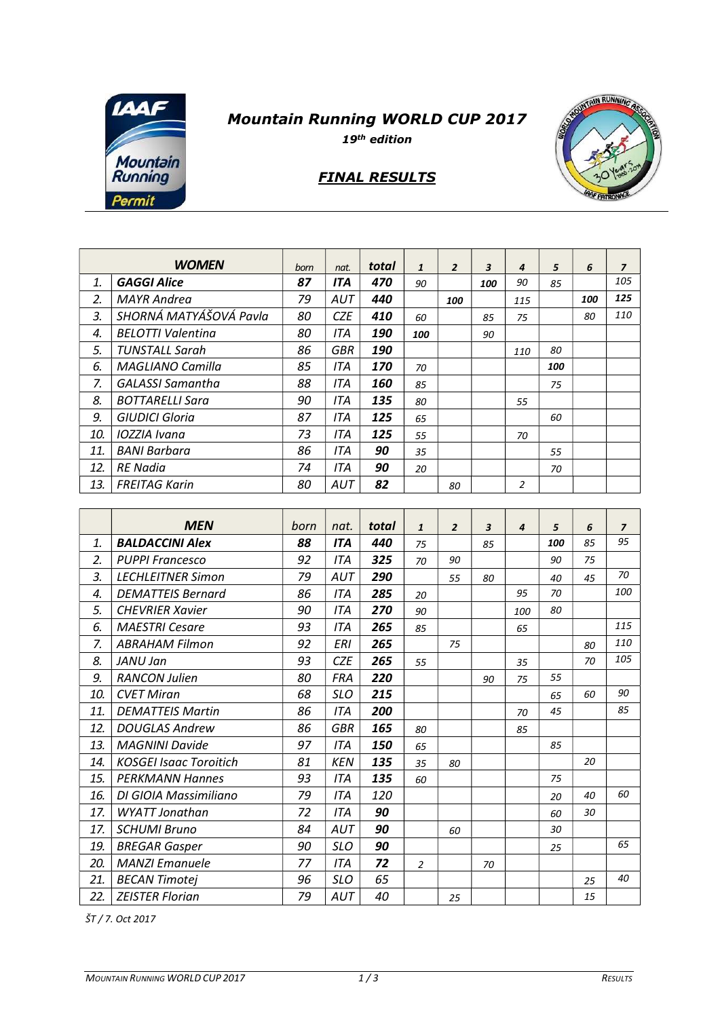

## Mountain Running WORLD CUP 2017

19th edition

## FINAL RESULTS



|     | <b>WOMEN</b>             | born | nat.       | total | $\mathbf{1}$ | $\overline{2}$ | 3   | 4              | 5   | 6   | $\overline{z}$ |
|-----|--------------------------|------|------------|-------|--------------|----------------|-----|----------------|-----|-----|----------------|
| 1.  | <b>GAGGI Alice</b>       | 87   | <b>ITA</b> | 470   | 90           |                | 100 | 90             | 85  |     | 105            |
| 2.  | <b>MAYR Andrea</b>       | 79   | <b>AUT</b> | 440   |              | 100            |     | 115            |     | 100 | 125            |
| 3.  | SHORNÁ MATYÁŠOVÁ Pavla   |      | <b>CZE</b> | 410   | 60           |                | 85  | 75             |     | 80  | 110            |
| 4.  | <b>BELOTTI Valentina</b> |      | ITA        | 190   | 100          |                | 90  |                |     |     |                |
| 5.  | <b>TUNSTALL Sarah</b>    | 86   | GBR        | 190   |              |                |     | 110            | 80  |     |                |
| 6.  | <b>MAGLIANO Camilla</b>  | 85   | <b>ITA</b> | 170   | 70           |                |     |                | 100 |     |                |
| 7.  | <b>GALASSI Samantha</b>  | 88   | <b>ITA</b> | 160   | 85           |                |     |                | 75  |     |                |
| 8.  | <b>BOTTARELLI Sara</b>   | 90   | <b>ITA</b> | 135   | 80           |                |     | 55             |     |     |                |
| 9.  | <b>GIUDICI Gloria</b>    | 87   | ITA        | 125   | 65           |                |     |                | 60  |     |                |
| 10. | IOZZIA Ivana             | 73   | <b>ITA</b> | 125   | 55           |                |     | 70             |     |     |                |
| 11. | <b>BANI Barbara</b>      | 86   | <b>ITA</b> | 90    | 35           |                |     |                | 55  |     |                |
| 12. | <b>RE</b> Nadia          | 74   | <b>ITA</b> | 90    | 20           |                |     |                | 70  |     |                |
| 13. | <b>FREITAG Karin</b>     | 80   | <b>AUT</b> | 82    |              | 80             |     | $\overline{2}$ |     |     |                |

|     | <b>MEN</b>                    | born | nat.       | total | $\mathbf{1}$   | $\overline{2}$ | 3  | $\boldsymbol{4}$ | 5   | 6  | $\overline{z}$ |
|-----|-------------------------------|------|------------|-------|----------------|----------------|----|------------------|-----|----|----------------|
| 1.  | <b>BALDACCINI Alex</b>        | 88   | <b>ITA</b> | 440   | 75             |                | 85 |                  | 100 | 85 | 95             |
| 2.  | <b>PUPPI Francesco</b>        | 92   | <b>ITA</b> | 325   | 70             | 90             |    |                  | 90  | 75 |                |
| 3.  | <b>LECHLEITNER Simon</b>      | 79   | AUT        | 290   |                | 55             | 80 |                  | 40  | 45 | 70             |
| 4.  | <b>DEMATTEIS Bernard</b>      | 86   | <b>ITA</b> | 285   | 20             |                |    | 95               | 70  |    | 100            |
| 5.  | <b>CHEVRIER Xavier</b>        | 90   | <b>ITA</b> | 270   | 90             |                |    | 100              | 80  |    |                |
| 6.  | <b>MAESTRI Cesare</b>         | 93   | <b>ITA</b> | 265   | 85             |                |    | 65               |     |    | 115            |
| 7.  | <b>ABRAHAM Filmon</b>         | 92   | <b>ERI</b> | 265   |                | 75             |    |                  |     | 80 | 110            |
| 8.  | JANU Jan                      | 93   | <b>CZE</b> | 265   | 55             |                |    | 35               |     | 70 | 105            |
| 9.  | <b>RANCON Julien</b>          | 80   | <b>FRA</b> | 220   |                |                | 90 | 75               | 55  |    |                |
| 10. | <b>CVET Miran</b>             | 68   | <b>SLO</b> | 215   |                |                |    |                  | 65  | 60 | 90             |
| 11. | <b>DEMATTEIS Martin</b>       | 86   | <b>ITA</b> | 200   |                |                |    | 70               | 45  |    | 85             |
| 12. | <b>DOUGLAS Andrew</b>         | 86   | <b>GBR</b> | 165   | 80             |                |    | 85               |     |    |                |
| 13. | <b>MAGNINI Davide</b>         | 97   | <b>ITA</b> | 150   | 65             |                |    |                  | 85  |    |                |
| 14. | <b>KOSGEI Isaac Toroitich</b> | 81   | <b>KEN</b> | 135   | 35             | 80             |    |                  |     | 20 |                |
| 15. | <b>PERKMANN Hannes</b>        | 93   | <b>ITA</b> | 135   | 60             |                |    |                  | 75  |    |                |
| 16. | DI GIOIA Massimiliano         | 79   | <b>ITA</b> | 120   |                |                |    |                  | 20  | 40 | 60             |
| 17. | <b>WYATT Jonathan</b>         | 72   | <b>ITA</b> | 90    |                |                |    |                  | 60  | 30 |                |
| 17. | <b>SCHUMI Bruno</b>           | 84   | AUT        | 90    |                | 60             |    |                  | 30  |    |                |
| 19. | <b>BREGAR Gasper</b>          | 90   | <b>SLO</b> | 90    |                |                |    |                  | 25  |    | 65             |
| 20. | <b>MANZI Emanuele</b>         | 77   | <b>ITA</b> | 72    | $\overline{2}$ |                | 70 |                  |     |    |                |
| 21. | <b>BECAN Timotej</b>          | 96   | <b>SLO</b> | 65    |                |                |    |                  |     | 25 | 40             |
| 22. | <b>ZEISTER Florian</b>        | 79   | AUT        | 40    |                | 25             |    |                  |     | 15 |                |

ŠT / 7. Oct 2017